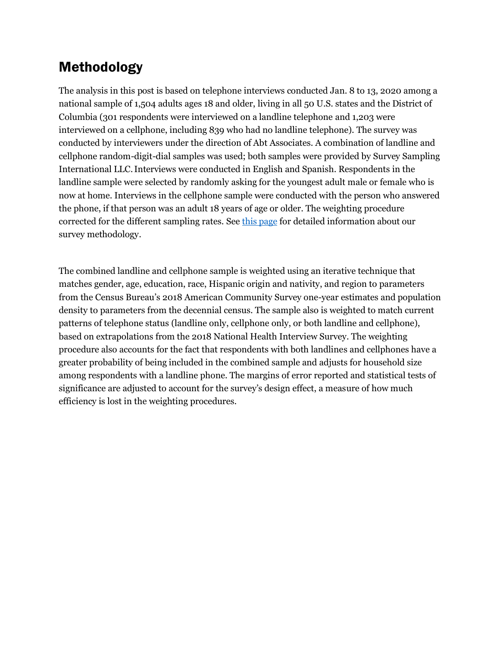## Methodology

The analysis in this post is based on telephone interviews conducted Jan. 8 to 13, 2020 among a national sample of 1,504 adults ages 18 and older, living in all 50 U.S. states and the District of Columbia (301 respondents were interviewed on a landline telephone and 1,203 were interviewed on a cellphone, including 839 who had no landline telephone). The survey was conducted by interviewers under the direction of Abt Associates. A combination of landline and cellphone random-digit-dial samples was used; both samples were provided by Survey Sampling International LLC.Interviews were conducted in English and Spanish. Respondents in the landline sample were selected by randomly asking for the youngest adult male or female who is now at home. Interviews in the cellphone sample were conducted with the person who answered the phone, if that person was an adult 18 years of age or older. The weighting procedure corrected for the different sampling rates. See [this page](http://www.pewresearch.org/methodology/u-s-survey-research/) for detailed information about our survey methodology.

The combined landline and cellphone sample is weighted using an iterative technique that matches gender, age, education, race, Hispanic origin and nativity, and region to parameters from the Census Bureau's 2018 American Community Survey one-year estimates and population density to parameters from the decennial census. The sample also is weighted to match current patterns of telephone status (landline only, cellphone only, or both landline and cellphone), based on extrapolations from the 2018 National Health Interview Survey. The weighting procedure also accounts for the fact that respondents with both landlines and cellphones have a greater probability of being included in the combined sample and adjusts for household size among respondents with a landline phone. The margins of error reported and statistical tests of significance are adjusted to account for the survey's design effect, a measure of how much efficiency is lost in the weighting procedures.